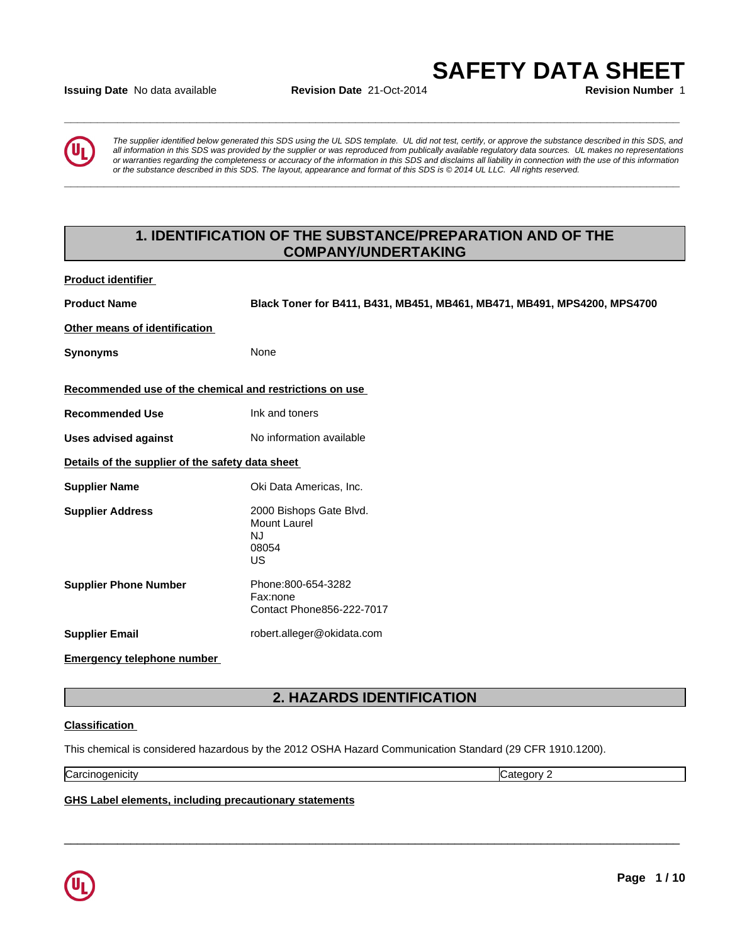#### **Issuing Date** No data available **Revision Date** 21-Oct-2014 **Revision Number** 1

*The supplier identified below generated this SDS using the UL SDS template. UL did not test, certify, or approve the substance described in this SDS, and all information in this SDS was provided by the supplier or was reproduced from publically available regulatory data sources. UL makes no representations or warranties regarding the completeness or accuracy of the information in this SDS and disclaims all liability in connection with the use of this information* ate No data available<br>The supplier identified below generated this SDS using the UL SDS template. UL did not test, certify, or approve the substance described in this SDS, and<br>all information in this SDS was provided by th

**\_\_\_\_\_\_\_\_\_\_\_\_\_\_\_\_\_\_\_\_\_\_\_\_\_\_\_\_\_\_\_\_\_\_\_\_\_\_\_\_\_\_\_\_\_\_\_\_\_\_\_\_\_\_\_\_\_\_\_\_\_\_\_\_\_\_\_\_\_\_\_\_\_\_\_\_\_\_\_\_\_\_\_\_\_\_\_\_\_\_\_\_\_**

**\_\_\_\_\_\_\_\_\_\_\_\_\_\_\_\_\_\_\_\_\_\_\_\_\_\_\_\_\_\_\_\_\_\_\_\_\_\_\_\_\_\_\_\_\_\_\_\_\_\_\_\_\_\_\_\_\_\_\_\_\_\_\_\_\_\_\_\_\_\_\_\_\_\_\_\_\_\_\_\_\_\_\_\_\_\_\_\_\_\_\_\_\_**

# **1. IDENTIFICATION OF THE SUBSTANCE/PREPARATION AND OF THE COMPANY/UNDERTAKING**

**Product identifier** 

**Product Name Black Toner for B411, B431, MB451, MB461, MB471, MB491, MPS4200, MPS4700**

**Other means of identification** 

**Synonyms** None

**Recommended use of the chemical and restrictions on use** 

**Recommended Use** Ink and toners

**Uses advised against** No information available

**Details of the supplier of the safety data sheet** 

**Supplier Name Oki Data Americas, Inc. Supplier Address** 2000 Bishops Gate Blvd. Mount Laurel NJ 08054 US **US Example 20 Supplier Phone Number** Phone:800-654-3282 Fax:none Contact Phone856-222-7017 **Supplier Email** robert.alleger@okidata.com

**Emergency telephone number** 

# **2. HAZARDS IDENTIFICATION**

 $\overline{\phantom{a}}$  ,  $\overline{\phantom{a}}$  ,  $\overline{\phantom{a}}$  ,  $\overline{\phantom{a}}$  ,  $\overline{\phantom{a}}$  ,  $\overline{\phantom{a}}$  ,  $\overline{\phantom{a}}$  ,  $\overline{\phantom{a}}$  ,  $\overline{\phantom{a}}$  ,  $\overline{\phantom{a}}$  ,  $\overline{\phantom{a}}$  ,  $\overline{\phantom{a}}$  ,  $\overline{\phantom{a}}$  ,  $\overline{\phantom{a}}$  ,  $\overline{\phantom{a}}$  ,  $\overline{\phantom{a}}$ 

# **Classification**

This chemical is considered hazardous by the 2012 OSHA Hazard Communication Standard (29 CFR 1910.1200).

Carcinogenicity Category 2

**GHS Label elements, including precautionary statements**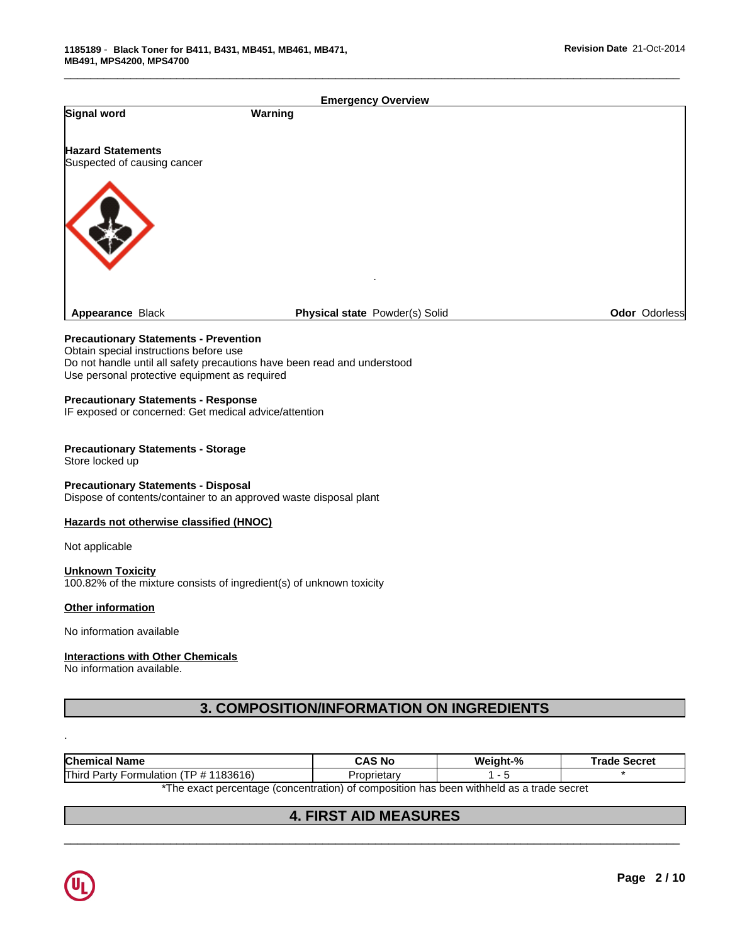| Signal word                                                          | <b>Emergency Overview</b><br>Warning                                                     |          |                     |
|----------------------------------------------------------------------|------------------------------------------------------------------------------------------|----------|---------------------|
|                                                                      |                                                                                          |          |                     |
| <b>Hazard Statements</b>                                             |                                                                                          |          |                     |
| Suspected of causing cancer                                          |                                                                                          |          |                     |
|                                                                      |                                                                                          |          |                     |
|                                                                      |                                                                                          |          |                     |
|                                                                      |                                                                                          |          |                     |
|                                                                      |                                                                                          |          |                     |
|                                                                      |                                                                                          |          |                     |
|                                                                      |                                                                                          |          |                     |
| Appearance Black                                                     | Physical state Powder(s) Solid                                                           |          | Odor Odorless       |
| <b>Precautionary Statements - Prevention</b>                         |                                                                                          |          |                     |
| Obtain special instructions before use                               | Do not handle until all safety precautions have been read and understood                 |          |                     |
| Use personal protective equipment as required                        |                                                                                          |          |                     |
| <b>Precautionary Statements - Response</b>                           |                                                                                          |          |                     |
| IF exposed or concerned: Get medical advice/attention                |                                                                                          |          |                     |
| <b>Precautionary Statements - Storage</b>                            |                                                                                          |          |                     |
| Store locked up                                                      |                                                                                          |          |                     |
| <b>Precautionary Statements - Disposal</b>                           |                                                                                          |          |                     |
| Dispose of contents/container to an approved waste disposal plant    |                                                                                          |          |                     |
| Hazards not otherwise classified (HNOC)                              |                                                                                          |          |                     |
| Not applicable                                                       |                                                                                          |          |                     |
| <b>Unknown Toxicity</b>                                              |                                                                                          |          |                     |
| 100.82% of the mixture consists of ingredient(s) of unknown toxicity |                                                                                          |          |                     |
| Other information                                                    |                                                                                          |          |                     |
| No information available                                             |                                                                                          |          |                     |
| <b>Interactions with Other Chemicals</b>                             |                                                                                          |          |                     |
| No information available.                                            |                                                                                          |          |                     |
|                                                                      |                                                                                          |          |                     |
|                                                                      | 3. COMPOSITION/INFORMATION ON INGREDIENTS                                                |          |                     |
|                                                                      |                                                                                          |          |                     |
| <b>Chemical Name</b>                                                 | <b>CAS No</b>                                                                            | Weight-% | <b>Trade Secret</b> |
| Third Party Formulation (TP # 1183616)                               | Proprietary                                                                              | $1 - 5$  | $\star$             |
|                                                                      | *The exact percentage (concentration) of composition has been withheld as a trade secret |          |                     |
|                                                                      | <b>4. FIRST AID MEASURES</b>                                                             |          |                     |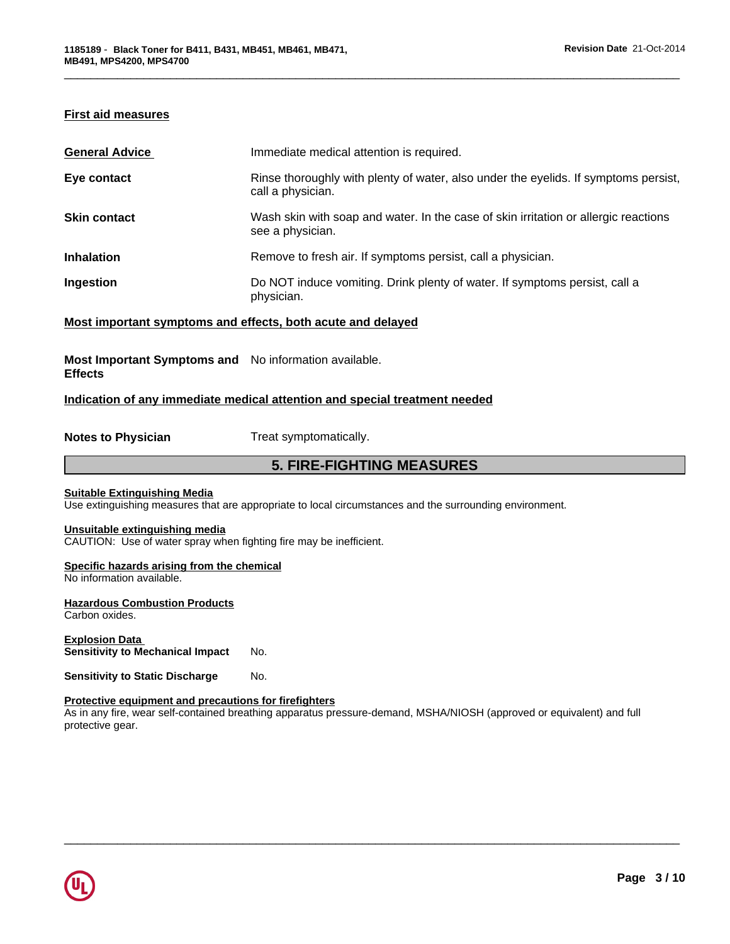# **First aid measures**

| <b>General Advice</b>                                       | Immediate medical attention is required.                                                                 |
|-------------------------------------------------------------|----------------------------------------------------------------------------------------------------------|
| Eye contact                                                 | Rinse thoroughly with plenty of water, also under the eyelids. If symptoms persist,<br>call a physician. |
| <b>Skin contact</b>                                         | Wash skin with soap and water. In the case of skin irritation or allergic reactions<br>see a physician.  |
| <b>Inhalation</b>                                           | Remove to fresh air. If symptoms persist, call a physician.                                              |
| Ingestion                                                   | Do NOT induce vomiting. Drink plenty of water. If symptoms persist, call a<br>physician.                 |
| Most important symptoms and effects, both acute and delayed |                                                                                                          |

\_\_\_\_\_\_\_\_\_\_\_\_\_\_\_\_\_\_\_\_\_\_\_\_\_\_\_\_\_\_\_\_\_\_\_\_\_\_\_\_\_\_\_\_\_\_\_\_\_\_\_\_\_\_\_\_\_\_\_\_\_\_\_\_\_\_\_\_\_\_\_\_\_\_\_\_\_\_\_\_\_\_\_\_\_\_\_\_\_\_\_\_\_

# **Most Important Symptoms and** No information available.

### **Effects**

# **Indication of any immediate medical attention and special treatment needed**

**Notes to Physician** Treat symptomatically.

# **5. FIRE-FIGHTING MEASURES**

#### **Suitable Extinguishing Media**

Use extinguishing measures that are appropriate to local circumstances and the surrounding environment.

## **Unsuitable extinguishing media**

CAUTION: Use of water spray when fighting fire may be inefficient.

### **Specific hazards arising from the chemical**

No information available.

# **Hazardous Combustion Products**

Carbon oxides.

**Explosion Data Sensitivity to Mechanical Impact No.** 

**Sensitivity to Static Discharge No.** 

### **Protective equipment and precautions for firefighters**

As in any fire, wear self-contained breathing apparatus pressure-demand, MSHA/NIOSH (approved or equivalent) and full protective gear.

 $\overline{\phantom{a}}$  ,  $\overline{\phantom{a}}$  ,  $\overline{\phantom{a}}$  ,  $\overline{\phantom{a}}$  ,  $\overline{\phantom{a}}$  ,  $\overline{\phantom{a}}$  ,  $\overline{\phantom{a}}$  ,  $\overline{\phantom{a}}$  ,  $\overline{\phantom{a}}$  ,  $\overline{\phantom{a}}$  ,  $\overline{\phantom{a}}$  ,  $\overline{\phantom{a}}$  ,  $\overline{\phantom{a}}$  ,  $\overline{\phantom{a}}$  ,  $\overline{\phantom{a}}$  ,  $\overline{\phantom{a}}$ 

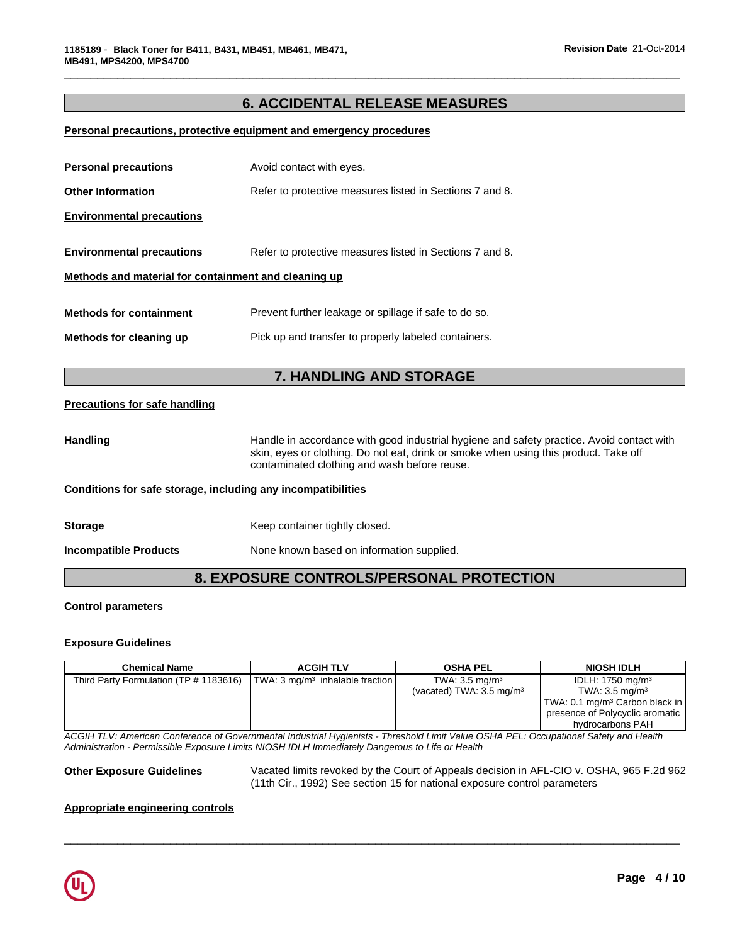# **6. ACCIDENTAL RELEASE MEASURES**

\_\_\_\_\_\_\_\_\_\_\_\_\_\_\_\_\_\_\_\_\_\_\_\_\_\_\_\_\_\_\_\_\_\_\_\_\_\_\_\_\_\_\_\_\_\_\_\_\_\_\_\_\_\_\_\_\_\_\_\_\_\_\_\_\_\_\_\_\_\_\_\_\_\_\_\_\_\_\_\_\_\_\_\_\_\_\_\_\_\_\_\_\_

# **Personal precautions, protective equipment and emergency procedures**

| <b>Other Information</b><br><b>Environmental precautions</b><br><b>Environmental precautions</b> | Refer to protective measures listed in Sections 7 and 8.<br>Refer to protective measures listed in Sections 7 and 8.                                                                                                              |
|--------------------------------------------------------------------------------------------------|-----------------------------------------------------------------------------------------------------------------------------------------------------------------------------------------------------------------------------------|
|                                                                                                  |                                                                                                                                                                                                                                   |
|                                                                                                  |                                                                                                                                                                                                                                   |
|                                                                                                  |                                                                                                                                                                                                                                   |
| Methods and material for containment and cleaning up                                             |                                                                                                                                                                                                                                   |
| <b>Methods for containment</b>                                                                   | Prevent further leakage or spillage if safe to do so.                                                                                                                                                                             |
| Methods for cleaning up<br>Pick up and transfer to properly labeled containers.                  |                                                                                                                                                                                                                                   |
|                                                                                                  | 7. HANDLING AND STORAGE                                                                                                                                                                                                           |
| <b>Precautions for safe handling</b>                                                             |                                                                                                                                                                                                                                   |
| <b>Handling</b>                                                                                  | Handle in accordance with good industrial hygiene and safety practice. Avoid contact with<br>skin, eyes or clothing. Do not eat, drink or smoke when using this product. Take off<br>contaminated clothing and wash before reuse. |
| Conditions for safe storage, including any incompatibilities                                     |                                                                                                                                                                                                                                   |
| <b>Storage</b>                                                                                   | Keep container tightly closed.                                                                                                                                                                                                    |
| <b>Incompatible Products</b>                                                                     | None known based on information supplied.                                                                                                                                                                                         |
|                                                                                                  | 8. EXPOSURE CONTROLS/PERSONAL PROTECTION                                                                                                                                                                                          |

### **Control parameters**

#### **Exposure Guidelines**

| <b>Chemical Name</b>                   | <b>ACGIH TLV</b>                       | <b>OSHA PEL</b>                     | <b>NIOSH IDLH</b>                          |
|----------------------------------------|----------------------------------------|-------------------------------------|--------------------------------------------|
| Third Party Formulation (TP # 1183616) | $ TWA: 3 mg/m3$ inhalable fraction $ $ | TWA: $3.5 \text{ mg/m}^3$           | IDLH: $1750 \text{ mg/m}^3$                |
|                                        |                                        | (vacated) TWA: $3.5 \text{ mg/m}^3$ | TWA: $3.5 \text{ mg/m}^3$                  |
|                                        |                                        |                                     | TWA: 0.1 mg/m <sup>3</sup> Carbon black in |
|                                        |                                        |                                     | presence of Polycyclic aromatic            |
|                                        |                                        |                                     | hydrocarbons PAH                           |

*ACGIH TLV: American Conference of Governmental Industrial Hygienists - Threshold Limit Value OSHA PEL: Occupational Safety and Health Administration - Permissible Exposure Limits NIOSH IDLH Immediately Dangerous to Life or Health*

**Other Exposure Guidelines** Vacated limits revoked by the Court of Appeals decision in AFL-CIO v. OSHA, 965 F.2d 962 (11th Cir., 1992) See section 15 for national exposure control parameters

 $\overline{\phantom{a}}$  ,  $\overline{\phantom{a}}$  ,  $\overline{\phantom{a}}$  ,  $\overline{\phantom{a}}$  ,  $\overline{\phantom{a}}$  ,  $\overline{\phantom{a}}$  ,  $\overline{\phantom{a}}$  ,  $\overline{\phantom{a}}$  ,  $\overline{\phantom{a}}$  ,  $\overline{\phantom{a}}$  ,  $\overline{\phantom{a}}$  ,  $\overline{\phantom{a}}$  ,  $\overline{\phantom{a}}$  ,  $\overline{\phantom{a}}$  ,  $\overline{\phantom{a}}$  ,  $\overline{\phantom{a}}$ 

#### **Appropriate engineering controls**

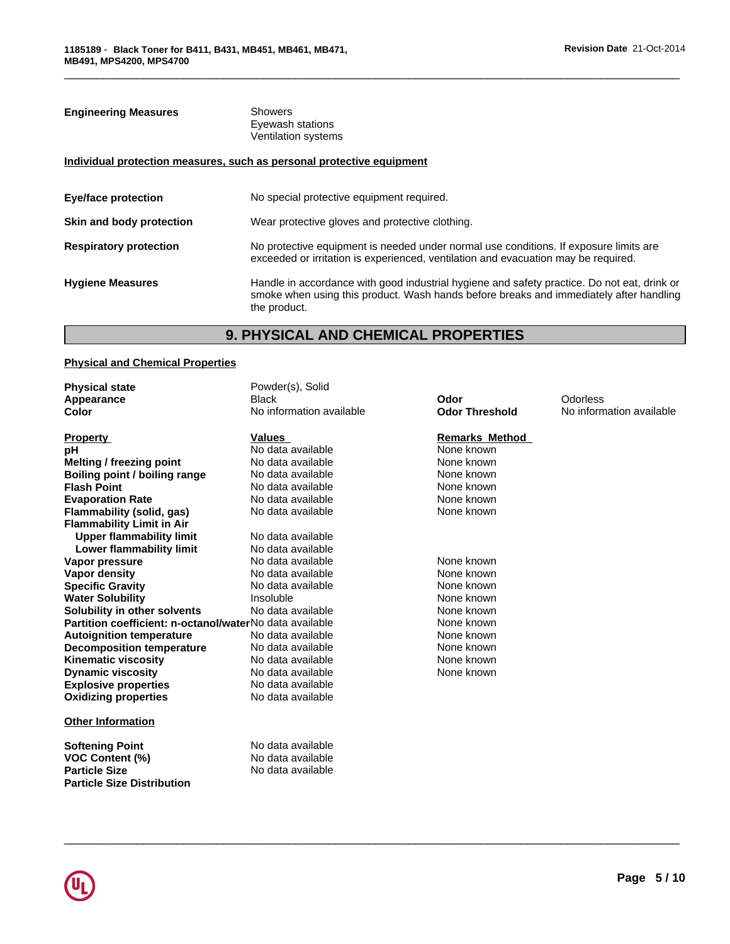# **Engineering Measures** Showers Eyewash stations Ventilation systems

# **Individual protection measures, such as personal protective equipment**

| <b>Eye/face protection</b>    | No special protective equipment required.                                                                                                                                                             |
|-------------------------------|-------------------------------------------------------------------------------------------------------------------------------------------------------------------------------------------------------|
| Skin and body protection      | Wear protective gloves and protective clothing.                                                                                                                                                       |
| <b>Respiratory protection</b> | No protective equipment is needed under normal use conditions. If exposure limits are<br>exceeded or irritation is experienced, ventilation and evacuation may be required.                           |
| <b>Hygiene Measures</b>       | Handle in accordance with good industrial hygiene and safety practice. Do not eat, drink or<br>smoke when using this product. Wash hands before breaks and immediately after handling<br>the product. |

\_\_\_\_\_\_\_\_\_\_\_\_\_\_\_\_\_\_\_\_\_\_\_\_\_\_\_\_\_\_\_\_\_\_\_\_\_\_\_\_\_\_\_\_\_\_\_\_\_\_\_\_\_\_\_\_\_\_\_\_\_\_\_\_\_\_\_\_\_\_\_\_\_\_\_\_\_\_\_\_\_\_\_\_\_\_\_\_\_\_\_\_\_

# **9. PHYSICAL AND CHEMICAL PROPERTIES**

# **Physical and Chemical Properties**

| <b>Physical state</b>                                   | Powder(s), Solid         |                       |                          |
|---------------------------------------------------------|--------------------------|-----------------------|--------------------------|
| Appearance                                              | <b>Black</b>             | Odor                  | <b>Odorless</b>          |
| Color                                                   | No information available | <b>Odor Threshold</b> | No information available |
| <b>Property</b>                                         | Values                   | <b>Remarks Method</b> |                          |
| рH                                                      | No data available        | None known            |                          |
| Melting / freezing point                                | No data available        | None known            |                          |
| Boiling point / boiling range                           | No data available        | None known            |                          |
| <b>Flash Point</b>                                      | No data available        | None known            |                          |
| <b>Evaporation Rate</b>                                 | No data available        | None known            |                          |
| Flammability (solid, gas)                               | No data available        | None known            |                          |
| <b>Flammability Limit in Air</b>                        |                          |                       |                          |
| <b>Upper flammability limit</b>                         | No data available        |                       |                          |
| Lower flammability limit                                | No data available        |                       |                          |
| Vapor pressure                                          | No data available        | None known            |                          |
| Vapor density                                           | No data available        | None known            |                          |
| <b>Specific Gravity</b>                                 | No data available        | None known            |                          |
| <b>Water Solubility</b>                                 | Insoluble                | None known            |                          |
| Solubility in other solvents                            | No data available        | None known            |                          |
| Partition coefficient: n-octanol/waterNo data available |                          | None known            |                          |
| <b>Autoignition temperature</b>                         | No data available        | None known            |                          |
| <b>Decomposition temperature</b>                        | No data available        | None known            |                          |
| <b>Kinematic viscosity</b>                              | No data available        | None known            |                          |
| <b>Dynamic viscosity</b>                                | No data available        | None known            |                          |
| <b>Explosive properties</b>                             | No data available        |                       |                          |
| <b>Oxidizing properties</b>                             | No data available        |                       |                          |
| <b>Other Information</b>                                |                          |                       |                          |
| <b>Softening Point</b>                                  | No data available        |                       |                          |
| <b>VOC Content (%)</b>                                  | No data available        |                       |                          |
| <b>Particle Size</b>                                    | No data available        |                       |                          |
| <b>Particle Size Distribution</b>                       |                          |                       |                          |
|                                                         |                          |                       |                          |

 $\overline{\phantom{a}}$  ,  $\overline{\phantom{a}}$  ,  $\overline{\phantom{a}}$  ,  $\overline{\phantom{a}}$  ,  $\overline{\phantom{a}}$  ,  $\overline{\phantom{a}}$  ,  $\overline{\phantom{a}}$  ,  $\overline{\phantom{a}}$  ,  $\overline{\phantom{a}}$  ,  $\overline{\phantom{a}}$  ,  $\overline{\phantom{a}}$  ,  $\overline{\phantom{a}}$  ,  $\overline{\phantom{a}}$  ,  $\overline{\phantom{a}}$  ,  $\overline{\phantom{a}}$  ,  $\overline{\phantom{a}}$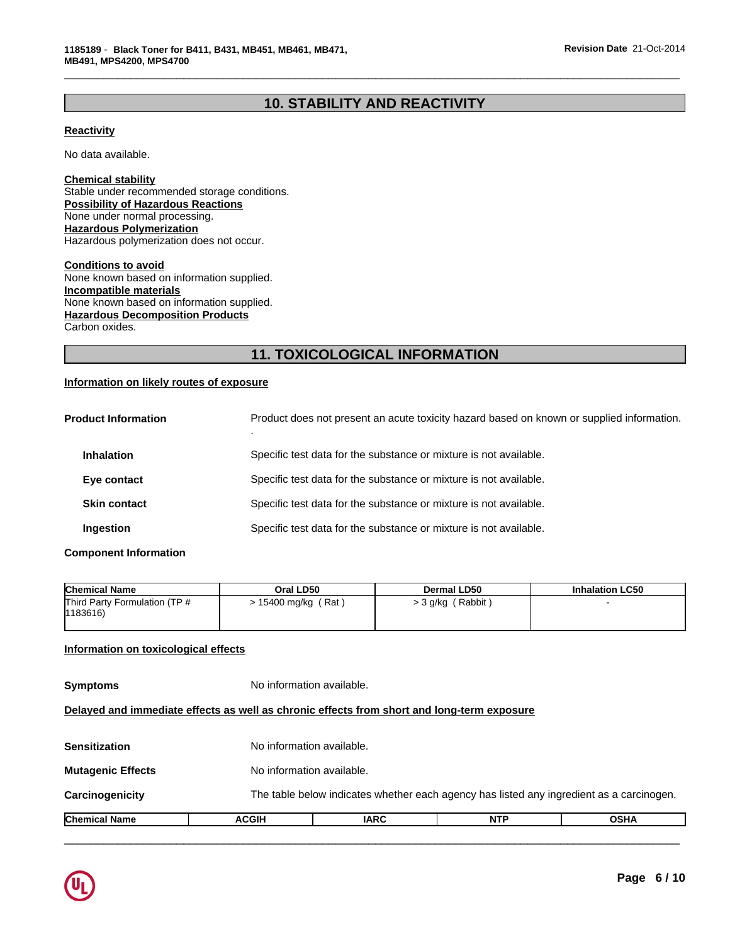# **10. STABILITY AND REACTIVITY**

\_\_\_\_\_\_\_\_\_\_\_\_\_\_\_\_\_\_\_\_\_\_\_\_\_\_\_\_\_\_\_\_\_\_\_\_\_\_\_\_\_\_\_\_\_\_\_\_\_\_\_\_\_\_\_\_\_\_\_\_\_\_\_\_\_\_\_\_\_\_\_\_\_\_\_\_\_\_\_\_\_\_\_\_\_\_\_\_\_\_\_\_\_

# **Reactivity**

No data available.

**Chemical stability** Stable under recommended storage conditions. **Possibility of Hazardous Reactions** None under normal processing. **Hazardous Polymerization** Hazardous polymerization does not occur.

**Conditions to avoid** None known based on information supplied. **Incompatible materials** None known based on information supplied. **Hazardous Decomposition Products** Carbon oxides.

# **11. TOXICOLOGICAL INFORMATION**

# **Information on likely routes of exposure**

| <b>Product Information</b> | Product does not present an acute toxicity hazard based on known or supplied information. |
|----------------------------|-------------------------------------------------------------------------------------------|
| <b>Inhalation</b>          | Specific test data for the substance or mixture is not available.                         |
| Eye contact                | Specific test data for the substance or mixture is not available.                         |
| <b>Skin contact</b>        | Specific test data for the substance or mixture is not available.                         |
| Ingestion                  | Specific test data for the substance or mixture is not available.                         |

#### **Component Information**

| <b>Chemical Name</b>                     | Oral LD50         | <b>Dermal LD50</b> | <b>Inhalation LC50</b> |
|------------------------------------------|-------------------|--------------------|------------------------|
| Third Party Formulation (TP #<br>1183616 | 15400 mg/kg (Rat) | > 3 g/kg (Rabbit)  |                        |

# **Information on toxicological effects**

| <b>Chemical Name</b>     | <b>ACGIH</b>                                                                               | <b>IARC</b>               | <b>NTP</b> | <b>OSHA</b> |  |
|--------------------------|--------------------------------------------------------------------------------------------|---------------------------|------------|-------------|--|
| <b>Carcinogenicity</b>   | The table below indicates whether each agency has listed any ingredient as a carcinogen.   |                           |            |             |  |
| <b>Mutagenic Effects</b> |                                                                                            | No information available. |            |             |  |
| Sensitization            |                                                                                            | No information available. |            |             |  |
|                          | Delayed and immediate effects as well as chronic effects from short and long-term exposure |                           |            |             |  |
| <b>Symptoms</b>          | No information available.                                                                  |                           |            |             |  |

 $\overline{\phantom{a}}$  ,  $\overline{\phantom{a}}$  ,  $\overline{\phantom{a}}$  ,  $\overline{\phantom{a}}$  ,  $\overline{\phantom{a}}$  ,  $\overline{\phantom{a}}$  ,  $\overline{\phantom{a}}$  ,  $\overline{\phantom{a}}$  ,  $\overline{\phantom{a}}$  ,  $\overline{\phantom{a}}$  ,  $\overline{\phantom{a}}$  ,  $\overline{\phantom{a}}$  ,  $\overline{\phantom{a}}$  ,  $\overline{\phantom{a}}$  ,  $\overline{\phantom{a}}$  ,  $\overline{\phantom{a}}$ 

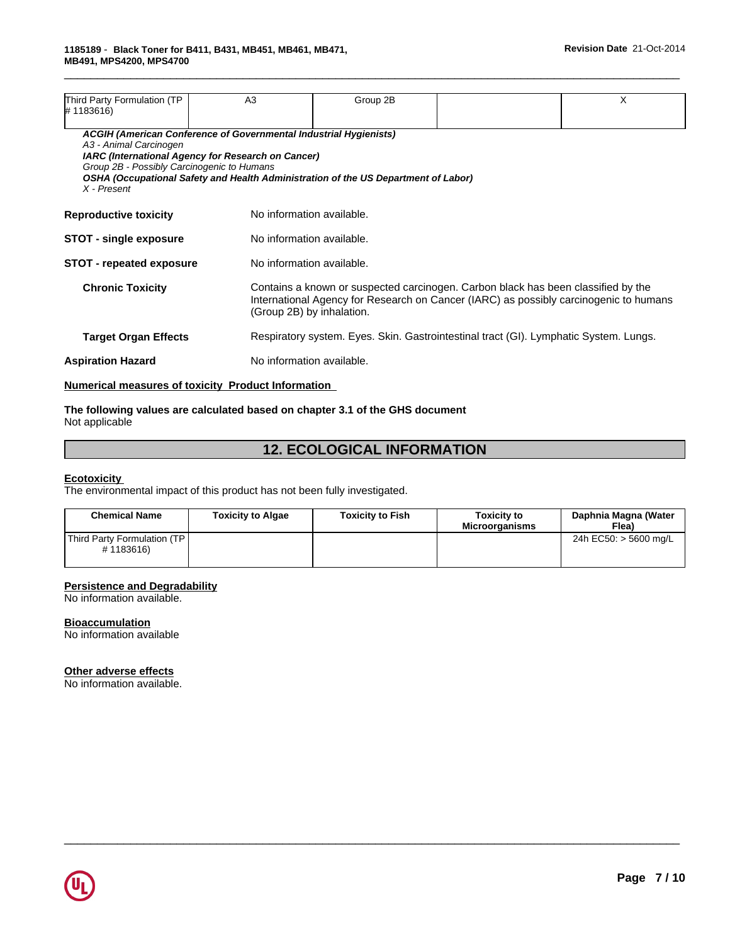| Third Party Formulation (TP                                                                                                                                                                                                                                                                          | A <sub>3</sub> |                                                                                                                                                                                                         | Group 2B |  | X |  |
|------------------------------------------------------------------------------------------------------------------------------------------------------------------------------------------------------------------------------------------------------------------------------------------------------|----------------|---------------------------------------------------------------------------------------------------------------------------------------------------------------------------------------------------------|----------|--|---|--|
| #1183616)                                                                                                                                                                                                                                                                                            |                |                                                                                                                                                                                                         |          |  |   |  |
| ACGIH (American Conference of Governmental Industrial Hygienists)<br>A3 - Animal Carcinogen<br>IARC (International Agency for Research on Cancer)<br>Group 2B - Possibly Carcinogenic to Humans<br>OSHA (Occupational Safety and Health Administration of the US Department of Labor)<br>X - Present |                |                                                                                                                                                                                                         |          |  |   |  |
| No information available.<br><b>Reproductive toxicity</b>                                                                                                                                                                                                                                            |                |                                                                                                                                                                                                         |          |  |   |  |
| <b>STOT - single exposure</b>                                                                                                                                                                                                                                                                        |                | No information available.                                                                                                                                                                               |          |  |   |  |
| <b>STOT - repeated exposure</b>                                                                                                                                                                                                                                                                      |                | No information available.                                                                                                                                                                               |          |  |   |  |
| <b>Chronic Toxicity</b>                                                                                                                                                                                                                                                                              |                | Contains a known or suspected carcinogen. Carbon black has been classified by the<br>International Agency for Research on Cancer (IARC) as possibly carcinogenic to humans<br>(Group 2B) by inhalation. |          |  |   |  |
| <b>Target Organ Effects</b>                                                                                                                                                                                                                                                                          |                | Respiratory system. Eyes. Skin. Gastrointestinal tract (GI). Lymphatic System. Lungs.                                                                                                                   |          |  |   |  |
| No information available.<br><b>Aspiration Hazard</b>                                                                                                                                                                                                                                                |                |                                                                                                                                                                                                         |          |  |   |  |
|                                                                                                                                                                                                                                                                                                      |                |                                                                                                                                                                                                         |          |  |   |  |

\_\_\_\_\_\_\_\_\_\_\_\_\_\_\_\_\_\_\_\_\_\_\_\_\_\_\_\_\_\_\_\_\_\_\_\_\_\_\_\_\_\_\_\_\_\_\_\_\_\_\_\_\_\_\_\_\_\_\_\_\_\_\_\_\_\_\_\_\_\_\_\_\_\_\_\_\_\_\_\_\_\_\_\_\_\_\_\_\_\_\_\_\_

# **Numerical measures of toxicity Product Information**

#### **The following values are calculated based on chapter 3.1 of the GHS document** Not applicable

# **12. ECOLOGICAL INFORMATION**

#### **Ecotoxicity**

The environmental impact of this product has not been fully investigated.

| <b>Chemical Name</b>                     | <b>Toxicity to Algae</b> | <b>Toxicity to Fish</b> | <b>Toxicity to</b><br><b>Microorganisms</b> | Daphnia Magna (Water<br>Flea) |
|------------------------------------------|--------------------------|-------------------------|---------------------------------------------|-------------------------------|
| Third Party Formulation (TP<br>#1183616) |                          |                         |                                             | 24h EC50: > 5600 mg/L         |

 $\overline{\phantom{a}}$  ,  $\overline{\phantom{a}}$  ,  $\overline{\phantom{a}}$  ,  $\overline{\phantom{a}}$  ,  $\overline{\phantom{a}}$  ,  $\overline{\phantom{a}}$  ,  $\overline{\phantom{a}}$  ,  $\overline{\phantom{a}}$  ,  $\overline{\phantom{a}}$  ,  $\overline{\phantom{a}}$  ,  $\overline{\phantom{a}}$  ,  $\overline{\phantom{a}}$  ,  $\overline{\phantom{a}}$  ,  $\overline{\phantom{a}}$  ,  $\overline{\phantom{a}}$  ,  $\overline{\phantom{a}}$ 

# **Persistence and Degradability**

No information available.

#### **Bioaccumulation**

No information available

#### **Other adverse effects**

No information available.

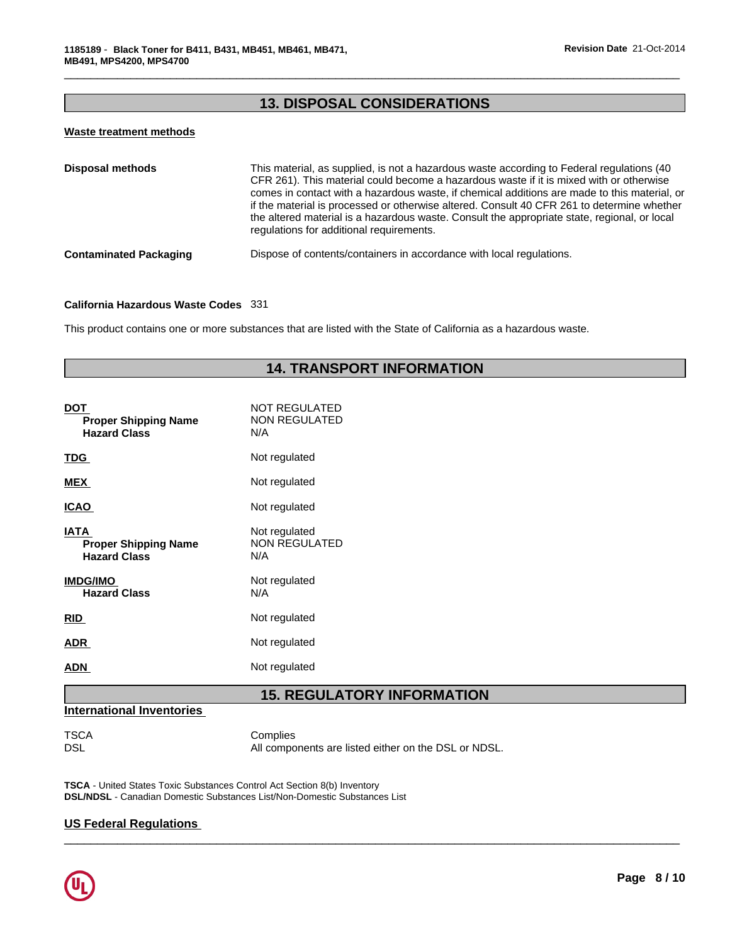# **13. DISPOSAL CONSIDERATIONS**

\_\_\_\_\_\_\_\_\_\_\_\_\_\_\_\_\_\_\_\_\_\_\_\_\_\_\_\_\_\_\_\_\_\_\_\_\_\_\_\_\_\_\_\_\_\_\_\_\_\_\_\_\_\_\_\_\_\_\_\_\_\_\_\_\_\_\_\_\_\_\_\_\_\_\_\_\_\_\_\_\_\_\_\_\_\_\_\_\_\_\_\_\_

### **Waste treatment methods**

| <b>Disposal methods</b>       | This material, as supplied, is not a hazardous waste according to Federal regulations (40<br>CFR 261). This material could become a hazardous waste if it is mixed with or otherwise<br>comes in contact with a hazardous waste, if chemical additions are made to this material, or<br>if the material is processed or otherwise altered. Consult 40 CFR 261 to determine whether<br>the altered material is a hazardous waste. Consult the appropriate state, regional, or local<br>regulations for additional requirements. |
|-------------------------------|--------------------------------------------------------------------------------------------------------------------------------------------------------------------------------------------------------------------------------------------------------------------------------------------------------------------------------------------------------------------------------------------------------------------------------------------------------------------------------------------------------------------------------|
| <b>Contaminated Packaging</b> | Dispose of contents/containers in accordance with local regulations.                                                                                                                                                                                                                                                                                                                                                                                                                                                           |

### **California Hazardous Waste Codes** 331

This product contains one or more substances that are listed with the State of California as a hazardous waste.

# **14. TRANSPORT INFORMATION**

| <u>DOT</u><br><b>Proper Shipping Name</b><br><b>Hazard Class</b>  | <b>NOT REGULATED</b><br><b>NON REGULATED</b><br>N/A |
|-------------------------------------------------------------------|-----------------------------------------------------|
| <u>TDG</u>                                                        | Not regulated                                       |
| <b>MEX</b>                                                        | Not regulated                                       |
| <b>ICAO</b>                                                       | Not regulated                                       |
| <b>IATA</b><br><b>Proper Shipping Name</b><br><b>Hazard Class</b> | Not regulated<br><b>NON REGULATED</b><br>N/A        |
| <b>IMDG/IMO</b><br><b>Hazard Class</b>                            | Not regulated<br>N/A                                |
| <b>RID</b>                                                        | Not regulated                                       |
| ADR                                                               | Not regulated                                       |
| ADN                                                               | Not regulated                                       |
|                                                                   |                                                     |

# **15. REGULATORY INFORMATION**

 $\overline{\phantom{a}}$  ,  $\overline{\phantom{a}}$  ,  $\overline{\phantom{a}}$  ,  $\overline{\phantom{a}}$  ,  $\overline{\phantom{a}}$  ,  $\overline{\phantom{a}}$  ,  $\overline{\phantom{a}}$  ,  $\overline{\phantom{a}}$  ,  $\overline{\phantom{a}}$  ,  $\overline{\phantom{a}}$  ,  $\overline{\phantom{a}}$  ,  $\overline{\phantom{a}}$  ,  $\overline{\phantom{a}}$  ,  $\overline{\phantom{a}}$  ,  $\overline{\phantom{a}}$  ,  $\overline{\phantom{a}}$ 

# **International Inventories**

TSCA Complies<br>DSL All compo All components are listed either on the DSL or NDSL.

**TSCA** - United States Toxic Substances Control Act Section 8(b) Inventory **DSL/NDSL** - Canadian Domestic Substances List/Non-Domestic Substances List

# **US Federal Regulations**

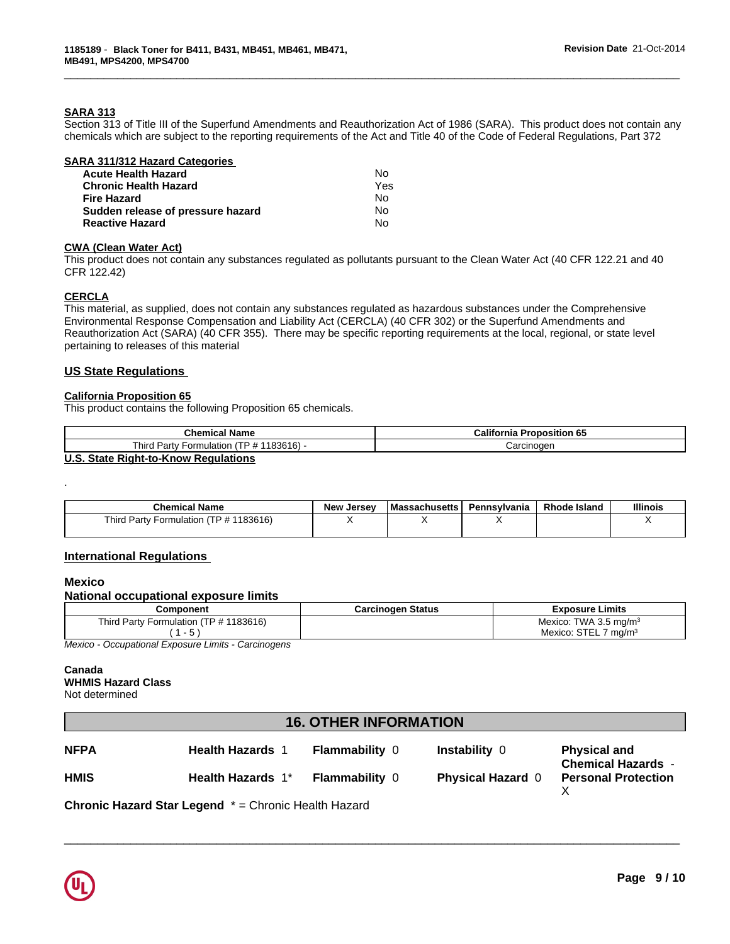## **SARA 313**

Section 313 of Title III of the Superfund Amendments and Reauthorization Act of 1986 (SARA). This product does not contain any chemicals which are subject to the reporting requirements of the Act and Title 40 of the Code of Federal Regulations, Part 372

\_\_\_\_\_\_\_\_\_\_\_\_\_\_\_\_\_\_\_\_\_\_\_\_\_\_\_\_\_\_\_\_\_\_\_\_\_\_\_\_\_\_\_\_\_\_\_\_\_\_\_\_\_\_\_\_\_\_\_\_\_\_\_\_\_\_\_\_\_\_\_\_\_\_\_\_\_\_\_\_\_\_\_\_\_\_\_\_\_\_\_\_\_

| SARA 311/312 Hazard Categories    |     |  |
|-----------------------------------|-----|--|
| <b>Acute Health Hazard</b>        | No  |  |
| <b>Chronic Health Hazard</b>      | Yes |  |
| <b>Fire Hazard</b>                | No  |  |
| Sudden release of pressure hazard | N٥  |  |
| <b>Reactive Hazard</b>            | No  |  |

#### **CWA (Clean Water Act)**

This product does not contain any substances regulated as pollutants pursuant to the Clean Water Act (40 CFR 122.21 and 40 CFR 122.42)

### **CERCLA**

This material, as supplied, does not contain any substances regulated as hazardous substances under the Comprehensive Environmental Response Compensation and Liability Act (CERCLA) (40 CFR 302) or the Superfund Amendments and Reauthorization Act (SARA) (40 CFR 355). There may be specific reporting requirements at the local, regional, or state level pertaining to releases of this material

### **US State Regulations**

#### **California Proposition 65**

This product contains the following Proposition 65 chemicals.

| California<br><b>Proposition 65</b> |
|-------------------------------------|
| Carcinoger                          |
|                                     |

#### **U.S. State Right-to-Know Regulations**

| <b>Chemical Name</b>                      | <b>New</b><br>. Jersev | l Massachusetts | Pennsylvania | <b>Rhode Island</b> | <b>Illinois</b> |
|-------------------------------------------|------------------------|-----------------|--------------|---------------------|-----------------|
| $-$<br>'183616<br>Third Party Formulation |                        |                 |              |                     |                 |

### **International Regulations**

### **Mexico**

.

### **National occupational exposure limits**

| Component                                            | <b>Carcinogen Status</b> | <b>Exposure Limits</b>                |
|------------------------------------------------------|--------------------------|---------------------------------------|
| Third.<br>(TP # 1183616)<br>√ Formulation √<br>Party |                          | Mexico:<br>TWA 3.5 mg/m <sup>3</sup>  |
| $\cdot$                                              |                          | <b>STE</b><br>ma/m<br>Mexico:<br>◡╷∟∟ |

*Mexico - Occupational Exposure Limits - Carcinogens*

#### **Canada WHMIS Hazard Class** Not determined

# **16. OTHER INFORMATION**

| <b>NFPA</b> | <b>Health Hazards</b> | <b>Flammability 0</b> | Instability 0            | <b>Physical and</b><br><b>Chemical Hazards -</b> |
|-------------|-----------------------|-----------------------|--------------------------|--------------------------------------------------|
| <b>HMIS</b> | Health Hazards 1*     | <b>Flammability 0</b> | <b>Physical Hazard 0</b> | <b>Personal Protection</b>                       |

 $\overline{\phantom{a}}$  ,  $\overline{\phantom{a}}$  ,  $\overline{\phantom{a}}$  ,  $\overline{\phantom{a}}$  ,  $\overline{\phantom{a}}$  ,  $\overline{\phantom{a}}$  ,  $\overline{\phantom{a}}$  ,  $\overline{\phantom{a}}$  ,  $\overline{\phantom{a}}$  ,  $\overline{\phantom{a}}$  ,  $\overline{\phantom{a}}$  ,  $\overline{\phantom{a}}$  ,  $\overline{\phantom{a}}$  ,  $\overline{\phantom{a}}$  ,  $\overline{\phantom{a}}$  ,  $\overline{\phantom{a}}$ 

**Chronic Hazard Star Legend** \* = Chronic Health Hazard